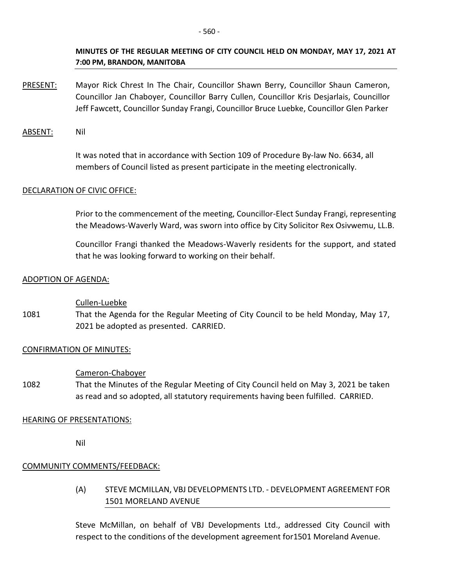## **MINUTES OF THE REGULAR MEETING OF CITY COUNCIL HELD ON MONDAY, MAY 17, 2021 AT 7:00 PM, BRANDON, MANITOBA**

PRESENT: Mayor Rick Chrest In The Chair, Councillor Shawn Berry, Councillor Shaun Cameron, Councillor Jan Chaboyer, Councillor Barry Cullen, Councillor Kris Desjarlais, Councillor Jeff Fawcett, Councillor Sunday Frangi, Councillor Bruce Luebke, Councillor Glen Parker

ABSENT: Nil

It was noted that in accordance with Section 109 of Procedure By-law No. 6634, all members of Council listed as present participate in the meeting electronically.

## DECLARATION OF CIVIC OFFICE:

Prior to the commencement of the meeting, Councillor-Elect Sunday Frangi, representing the Meadows-Waverly Ward, was sworn into office by City Solicitor Rex Osivwemu, LL.B.

Councillor Frangi thanked the Meadows-Waverly residents for the support, and stated that he was looking forward to working on their behalf.

## ADOPTION OF AGENDA:

Cullen-Luebke

1081 That the Agenda for the Regular Meeting of City Council to be held Monday, May 17, 2021 be adopted as presented. CARRIED.

## CONFIRMATION OF MINUTES:

#### Cameron-Chaboyer

1082 That the Minutes of the Regular Meeting of City Council held on May 3, 2021 be taken as read and so adopted, all statutory requirements having been fulfilled. CARRIED.

## HEARING OF PRESENTATIONS:

Nil

# COMMUNITY COMMENTS/FEEDBACK:

(A) STEVE MCMILLAN, VBJ DEVELOPMENTS LTD. - DEVELOPMENT AGREEMENT FOR 1501 MORELAND AVENUE

Steve McMillan, on behalf of VBJ Developments Ltd., addressed City Council with respect to the conditions of the development agreement for1501 Moreland Avenue.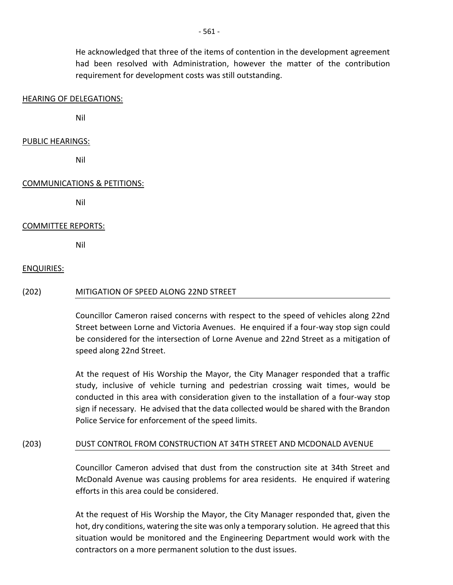He acknowledged that three of the items of contention in the development agreement had been resolved with Administration, however the matter of the contribution requirement for development costs was still outstanding.

#### HEARING OF DELEGATIONS:

Nil

#### PUBLIC HEARINGS:

Nil

## COMMUNICATIONS & PETITIONS:

Nil

## COMMITTEE REPORTS:

Nil

## ENQUIRIES:

#### (202) MITIGATION OF SPEED ALONG 22ND STREET

Councillor Cameron raised concerns with respect to the speed of vehicles along 22nd Street between Lorne and Victoria Avenues. He enquired if a four-way stop sign could be considered for the intersection of Lorne Avenue and 22nd Street as a mitigation of speed along 22nd Street.

At the request of His Worship the Mayor, the City Manager responded that a traffic study, inclusive of vehicle turning and pedestrian crossing wait times, would be conducted in this area with consideration given to the installation of a four-way stop sign if necessary. He advised that the data collected would be shared with the Brandon Police Service for enforcement of the speed limits.

#### (203) DUST CONTROL FROM CONSTRUCTION AT 34TH STREET AND MCDONALD AVENUE

Councillor Cameron advised that dust from the construction site at 34th Street and McDonald Avenue was causing problems for area residents. He enquired if watering efforts in this area could be considered.

At the request of His Worship the Mayor, the City Manager responded that, given the hot, dry conditions, watering the site was only a temporary solution. He agreed that this situation would be monitored and the Engineering Department would work with the contractors on a more permanent solution to the dust issues.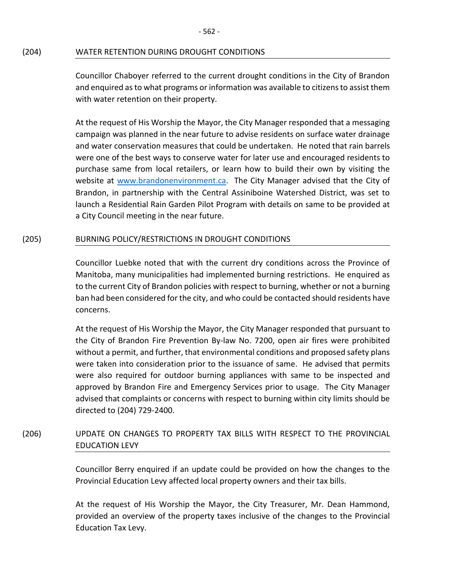## (204) WATER RETENTION DURING DROUGHT CONDITIONS

Councillor Chaboyer referred to the current drought conditions in the City of Brandon and enquired as to what programs or information was available to citizens to assist them with water retention on their property.

At the request of His Worship the Mayor, the City Manager responded that a messaging campaign was planned in the near future to advise residents on surface water drainage and water conservation measures that could be undertaken. He noted that rain barrels were one of the best ways to conserve water for later use and encouraged residents to purchase same from local retailers, or learn how to build their own by visiting the website at [www.brandonenvironment.ca.](http://www.brandonenvironment.ca/) The City Manager advised that the City of Brandon, in partnership with the Central Assiniboine Watershed District, was set to launch a Residential Rain Garden Pilot Program with details on same to be provided at a City Council meeting in the near future.

## (205) BURNING POLICY/RESTRICTIONS IN DROUGHT CONDITIONS

Councillor Luebke noted that with the current dry conditions across the Province of Manitoba, many municipalities had implemented burning restrictions. He enquired as to the current City of Brandon policies with respect to burning, whether or not a burning ban had been considered for the city, and who could be contacted should residents have concerns.

At the request of His Worship the Mayor, the City Manager responded that pursuant to the City of Brandon Fire Prevention By-law No. 7200, open air fires were prohibited without a permit, and further, that environmental conditions and proposed safety plans were taken into consideration prior to the issuance of same. He advised that permits were also required for outdoor burning appliances with same to be inspected and approved by Brandon Fire and Emergency Services prior to usage. The City Manager advised that complaints or concerns with respect to burning within city limits should be directed to (204) 729-2400.

# (206) UPDATE ON CHANGES TO PROPERTY TAX BILLS WITH RESPECT TO THE PROVINCIAL EDUCATION LEVY

Councillor Berry enquired if an update could be provided on how the changes to the Provincial Education Levy affected local property owners and their tax bills.

At the request of His Worship the Mayor, the City Treasurer, Mr. Dean Hammond, provided an overview of the property taxes inclusive of the changes to the Provincial Education Tax Levy.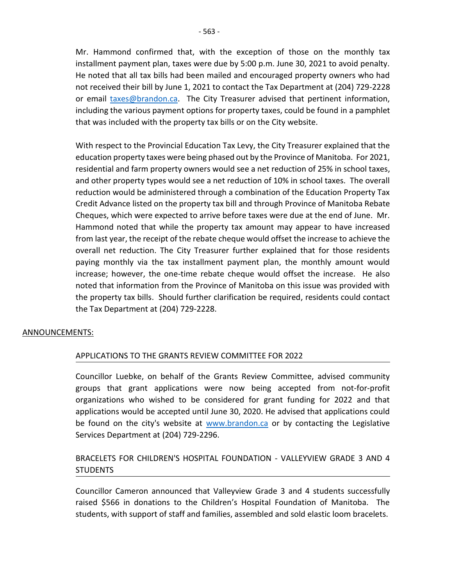Mr. Hammond confirmed that, with the exception of those on the monthly tax installment payment plan, taxes were due by 5:00 p.m. June 30, 2021 to avoid penalty. He noted that all tax bills had been mailed and encouraged property owners who had not received their bill by June 1, 2021 to contact the Tax Department at (204) 729-2228 or email [taxes@brandon.ca.](mailto:taxes@brandon.ca) The City Treasurer advised that pertinent information, including the various payment options for property taxes, could be found in a pamphlet that was included with the property tax bills or on the City website.

With respect to the Provincial Education Tax Levy, the City Treasurer explained that the education property taxes were being phased out by the Province of Manitoba. For 2021, residential and farm property owners would see a net reduction of 25% in school taxes, and other property types would see a net reduction of 10% in school taxes. The overall reduction would be administered through a combination of the Education Property Tax Credit Advance listed on the property tax bill and through Province of Manitoba Rebate Cheques, which were expected to arrive before taxes were due at the end of June. Mr. Hammond noted that while the property tax amount may appear to have increased from last year, the receipt of the rebate cheque would offset the increase to achieve the overall net reduction. The City Treasurer further explained that for those residents paying monthly via the tax installment payment plan, the monthly amount would increase; however, the one-time rebate cheque would offset the increase. He also noted that information from the Province of Manitoba on this issue was provided with the property tax bills. Should further clarification be required, residents could contact the Tax Department at (204) 729-2228.

## ANNOUNCEMENTS:

## APPLICATIONS TO THE GRANTS REVIEW COMMITTEE FOR 2022

Councillor Luebke, on behalf of the Grants Review Committee, advised community groups that grant applications were now being accepted from not-for-profit organizations who wished to be considered for grant funding for 2022 and that applications would be accepted until June 30, 2020. He advised that applications could be found on the city's website at [www.brandon.ca](http://www.brandon.ca/) or by contacting the Legislative Services Department at (204) 729-2296.

# BRACELETS FOR CHILDREN'S HOSPITAL FOUNDATION - VALLEYVIEW GRADE 3 AND 4 **STUDENTS**

Councillor Cameron announced that Valleyview Grade 3 and 4 students successfully raised \$566 in donations to the Children's Hospital Foundation of Manitoba. The students, with support of staff and families, assembled and sold elastic loom bracelets.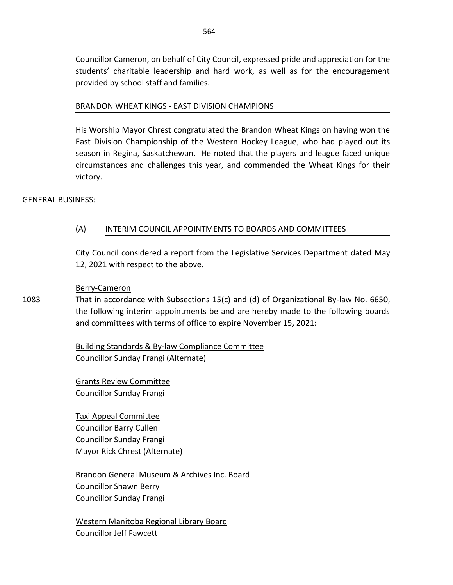Councillor Cameron, on behalf of City Council, expressed pride and appreciation for the students' charitable leadership and hard work, as well as for the encouragement provided by school staff and families.

## BRANDON WHEAT KINGS - EAST DIVISION CHAMPIONS

His Worship Mayor Chrest congratulated the Brandon Wheat Kings on having won the East Division Championship of the Western Hockey League, who had played out its season in Regina, Saskatchewan. He noted that the players and league faced unique circumstances and challenges this year, and commended the Wheat Kings for their victory.

## GENERAL BUSINESS:

## (A) INTERIM COUNCIL APPOINTMENTS TO BOARDS AND COMMITTEES

City Council considered a report from the Legislative Services Department dated May 12, 2021 with respect to the above.

#### Berry-Cameron

1083 That in accordance with Subsections 15(c) and (d) of Organizational By-law No. 6650, the following interim appointments be and are hereby made to the following boards and committees with terms of office to expire November 15, 2021:

> Building Standards & By-law Compliance Committee Councillor Sunday Frangi (Alternate)

Grants Review Committee Councillor Sunday Frangi

Taxi Appeal Committee Councillor Barry Cullen Councillor Sunday Frangi Mayor Rick Chrest (Alternate)

Brandon General Museum & Archives Inc. Board Councillor Shawn Berry Councillor Sunday Frangi

Western Manitoba Regional Library Board Councillor Jeff Fawcett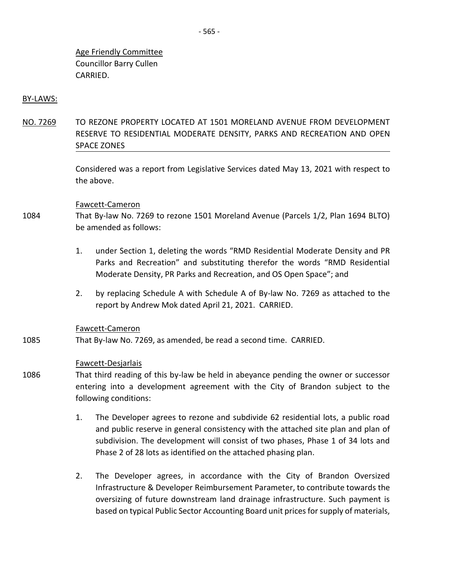Age Friendly Committee Councillor Barry Cullen CARRIED.

#### BY-LAWS:

NO. 7269 TO REZONE PROPERTY LOCATED AT 1501 MORELAND AVENUE FROM DEVELOPMENT RESERVE TO RESIDENTIAL MODERATE DENSITY, PARKS AND RECREATION AND OPEN SPACE ZONES

> Considered was a report from Legislative Services dated May 13, 2021 with respect to the above.

#### Fawcett-Cameron

- 1084 That By-law No. 7269 to rezone 1501 Moreland Avenue (Parcels 1/2, Plan 1694 BLTO) be amended as follows:
	- 1. under Section 1, deleting the words "RMD Residential Moderate Density and PR Parks and Recreation" and substituting therefor the words "RMD Residential Moderate Density, PR Parks and Recreation, and OS Open Space"; and
	- 2. by replacing Schedule A with Schedule A of By-law No. 7269 as attached to the report by Andrew Mok dated April 21, 2021. CARRIED.

#### Fawcett-Cameron

1085 That By-law No. 7269, as amended, be read a second time. CARRIED.

#### Fawcett-Desjarlais

- 1086 That third reading of this by-law be held in abeyance pending the owner or successor entering into a development agreement with the City of Brandon subject to the following conditions:
	- 1. The Developer agrees to rezone and subdivide 62 residential lots, a public road and public reserve in general consistency with the attached site plan and plan of subdivision. The development will consist of two phases, Phase 1 of 34 lots and Phase 2 of 28 lots as identified on the attached phasing plan.
	- 2. The Developer agrees, in accordance with the City of Brandon Oversized Infrastructure & Developer Reimbursement Parameter, to contribute towards the oversizing of future downstream land drainage infrastructure. Such payment is based on typical Public Sector Accounting Board unit prices for supply of materials,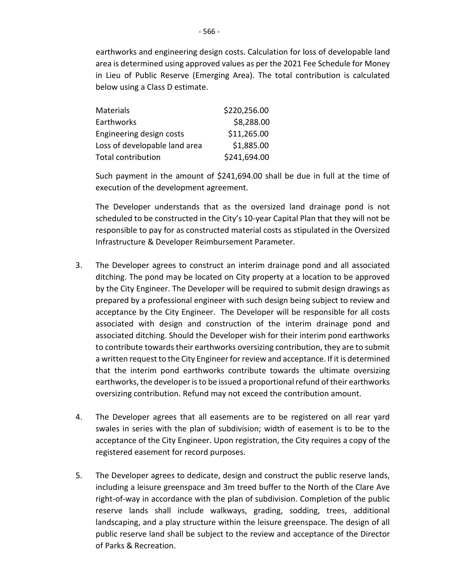earthworks and engineering design costs. Calculation for loss of developable land area is determined using approved values as per the 2021 Fee Schedule for Money in Lieu of Public Reserve (Emerging Area). The total contribution is calculated below using a Class D estimate.

| <b>Materials</b>              | \$220,256.00 |
|-------------------------------|--------------|
| Earthworks                    | \$8,288.00   |
| Engineering design costs      | \$11,265.00  |
| Loss of developable land area | \$1,885.00   |
| <b>Total contribution</b>     | \$241,694.00 |

Such payment in the amount of \$241,694.00 shall be due in full at the time of execution of the development agreement.

The Developer understands that as the oversized land drainage pond is not scheduled to be constructed in the City's 10-year Capital Plan that they will not be responsible to pay for as constructed material costs as stipulated in the Oversized Infrastructure & Developer Reimbursement Parameter.

- 3. The Developer agrees to construct an interim drainage pond and all associated ditching. The pond may be located on City property at a location to be approved by the City Engineer. The Developer will be required to submit design drawings as prepared by a professional engineer with such design being subject to review and acceptance by the City Engineer. The Developer will be responsible for all costs associated with design and construction of the interim drainage pond and associated ditching. Should the Developer wish for their interim pond earthworks to contribute towards their earthworks oversizing contribution, they are to submit a written request to the City Engineer for review and acceptance. If it is determined that the interim pond earthworks contribute towards the ultimate oversizing earthworks, the developer is to be issued a proportional refund of their earthworks oversizing contribution. Refund may not exceed the contribution amount.
- 4. The Developer agrees that all easements are to be registered on all rear yard swales in series with the plan of subdivision; width of easement is to be to the acceptance of the City Engineer. Upon registration, the City requires a copy of the registered easement for record purposes.
- 5. The Developer agrees to dedicate, design and construct the public reserve lands, including a leisure greenspace and 3m treed buffer to the North of the Clare Ave right-of-way in accordance with the plan of subdivision. Completion of the public reserve lands shall include walkways, grading, sodding, trees, additional landscaping, and a play structure within the leisure greenspace. The design of all public reserve land shall be subject to the review and acceptance of the Director of Parks & Recreation.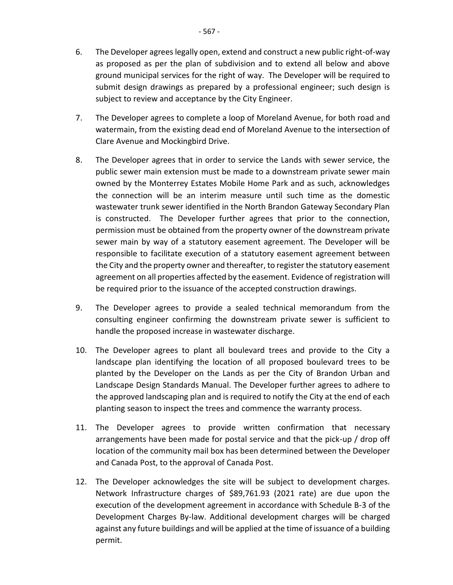- 6. The Developer agrees legally open, extend and construct a new public right-of-way as proposed as per the plan of subdivision and to extend all below and above ground municipal services for the right of way. The Developer will be required to submit design drawings as prepared by a professional engineer; such design is subject to review and acceptance by the City Engineer.
- 7. The Developer agrees to complete a loop of Moreland Avenue, for both road and watermain, from the existing dead end of Moreland Avenue to the intersection of Clare Avenue and Mockingbird Drive.
- 8. The Developer agrees that in order to service the Lands with sewer service, the public sewer main extension must be made to a downstream private sewer main owned by the Monterrey Estates Mobile Home Park and as such, acknowledges the connection will be an interim measure until such time as the domestic wastewater trunk sewer identified in the North Brandon Gateway Secondary Plan is constructed. The Developer further agrees that prior to the connection, permission must be obtained from the property owner of the downstream private sewer main by way of a statutory easement agreement. The Developer will be responsible to facilitate execution of a statutory easement agreement between the City and the property owner and thereafter, to register the statutory easement agreement on all properties affected by the easement. Evidence of registration will be required prior to the issuance of the accepted construction drawings.
- 9. The Developer agrees to provide a sealed technical memorandum from the consulting engineer confirming the downstream private sewer is sufficient to handle the proposed increase in wastewater discharge.
- 10. The Developer agrees to plant all boulevard trees and provide to the City a landscape plan identifying the location of all proposed boulevard trees to be planted by the Developer on the Lands as per the City of Brandon Urban and Landscape Design Standards Manual. The Developer further agrees to adhere to the approved landscaping plan and is required to notify the City at the end of each planting season to inspect the trees and commence the warranty process.
- 11. The Developer agrees to provide written confirmation that necessary arrangements have been made for postal service and that the pick-up / drop off location of the community mail box has been determined between the Developer and Canada Post, to the approval of Canada Post.
- 12. The Developer acknowledges the site will be subject to development charges. Network Infrastructure charges of \$89,761.93 (2021 rate) are due upon the execution of the development agreement in accordance with Schedule B-3 of the Development Charges By-law. Additional development charges will be charged against any future buildings and will be applied at the time of issuance of a building permit.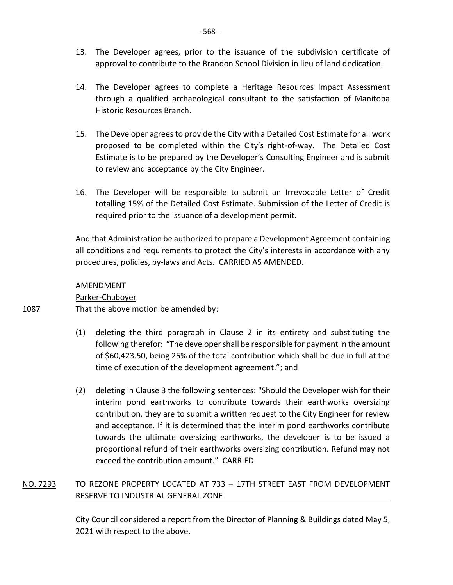- 13. The Developer agrees, prior to the issuance of the subdivision certificate of approval to contribute to the Brandon School Division in lieu of land dedication.
- 14. The Developer agrees to complete a Heritage Resources Impact Assessment through a qualified archaeological consultant to the satisfaction of Manitoba Historic Resources Branch.
- 15. The Developer agrees to provide the City with a Detailed Cost Estimate for all work proposed to be completed within the City's right-of-way. The Detailed Cost Estimate is to be prepared by the Developer's Consulting Engineer and is submit to review and acceptance by the City Engineer.
- 16. The Developer will be responsible to submit an Irrevocable Letter of Credit totalling 15% of the Detailed Cost Estimate. Submission of the Letter of Credit is required prior to the issuance of a development permit.

And that Administration be authorized to prepare a Development Agreement containing all conditions and requirements to protect the City's interests in accordance with any procedures, policies, by-laws and Acts. CARRIED AS AMENDED.

## AMENDMENT

Parker-Chaboyer

1087 That the above motion be amended by:

- (1) deleting the third paragraph in Clause 2 in its entirety and substituting the following therefor: "The developer shall be responsible for payment in the amount of \$60,423.50, being 25% of the total contribution which shall be due in full at the time of execution of the development agreement."; and
- (2) deleting in Clause 3 the following sentences: "Should the Developer wish for their interim pond earthworks to contribute towards their earthworks oversizing contribution, they are to submit a written request to the City Engineer for review and acceptance. If it is determined that the interim pond earthworks contribute towards the ultimate oversizing earthworks, the developer is to be issued a proportional refund of their earthworks oversizing contribution. Refund may not exceed the contribution amount." CARRIED.

# NO. 7293 TO REZONE PROPERTY LOCATED AT 733 – 17TH STREET EAST FROM DEVELOPMENT RESERVE TO INDUSTRIAL GENERAL ZONE

City Council considered a report from the Director of Planning & Buildings dated May 5, 2021 with respect to the above.

- 568 -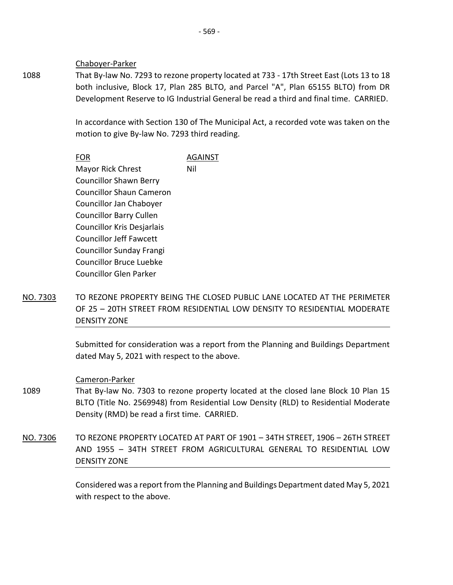Chaboyer-Parker

1088 That By-law No. 7293 to rezone property located at 733 - 17th Street East (Lots 13 to 18 both inclusive, Block 17, Plan 285 BLTO, and Parcel "A", Plan 65155 BLTO) from DR Development Reserve to IG Industrial General be read a third and final time. CARRIED.

> In accordance with Section 130 of The Municipal Act, a recorded vote was taken on the motion to give By-law No. 7293 third reading.

|                                 | AGAINST |
|---------------------------------|---------|
| Mayor Rick Chrest               | Nil     |
| <b>Councillor Shawn Berry</b>   |         |
| Councillor Shaun Cameron        |         |
| Councillor Jan Chaboyer         |         |
| <b>Councillor Barry Cullen</b>  |         |
| Councillor Kris Desjarlais      |         |
| <b>Councillor Jeff Fawcett</b>  |         |
| <b>Councillor Sunday Frangi</b> |         |
| Councillor Bruce Luebke         |         |
| Councillor Glen Parker          |         |

NO. 7303 TO REZONE PROPERTY BEING THE CLOSED PUBLIC LANE LOCATED AT THE PERIMETER OF 25 – 20TH STREET FROM RESIDENTIAL LOW DENSITY TO RESIDENTIAL MODERATE DENSITY ZONE

> Submitted for consideration was a report from the Planning and Buildings Department dated May 5, 2021 with respect to the above.

#### Cameron-Parker

- 1089 That By-law No. 7303 to rezone property located at the closed lane Block 10 Plan 15 BLTO (Title No. 2569948) from Residential Low Density (RLD) to Residential Moderate Density (RMD) be read a first time. CARRIED.
- NO. 7306 TO REZONE PROPERTY LOCATED AT PART OF 1901 34TH STREET, 1906 26TH STREET AND 1955 – 34TH STREET FROM AGRICULTURAL GENERAL TO RESIDENTIAL LOW DENSITY ZONE

Considered was a report from the Planning and Buildings Department dated May 5, 2021 with respect to the above.